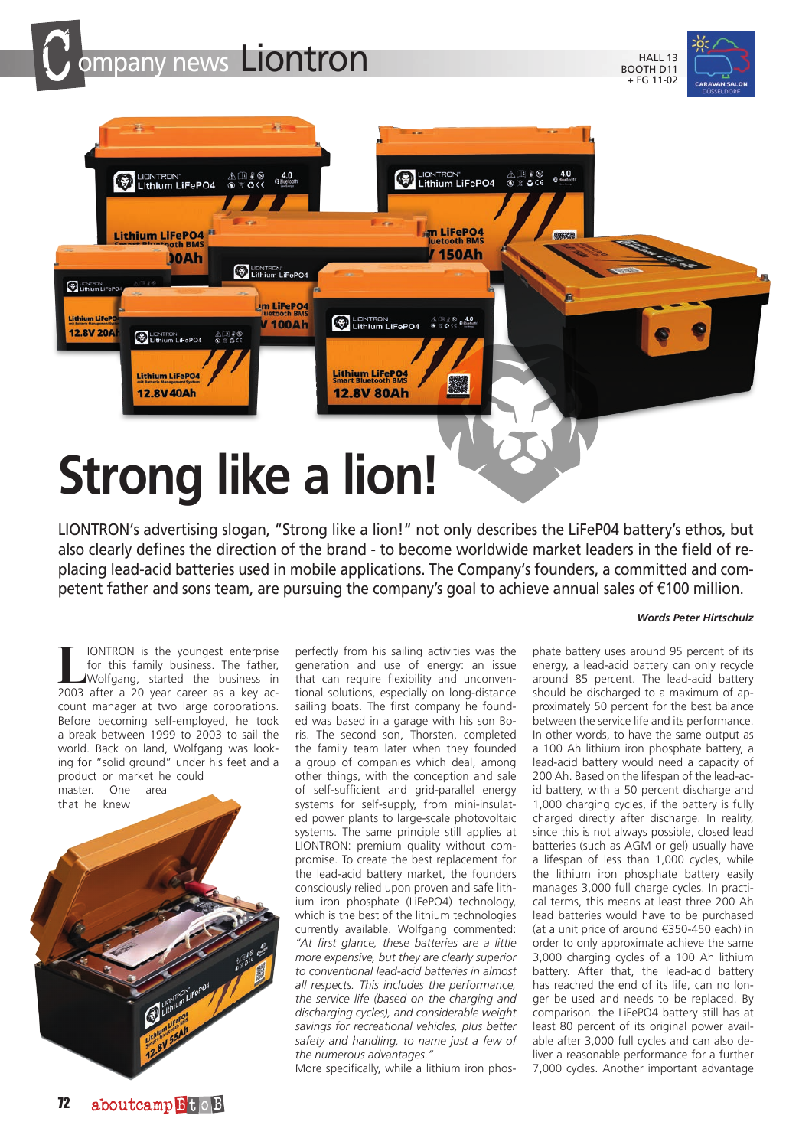





LIONTRON's advertising slogan, "Strong like a lion!" not only describes the LiFeP04 battery's ethos, but also clearly defines the direction of the brand - to become worldwide market leaders in the field of replacing lead-acid batteries used in mobile applications. The Company's founders, a committed and competent father and sons team, are pursuing the company's goal to achieve annual sales of €100 million.

## *Words Peter Hirtschulz*

**LIONTRON** is the youngest enterprise<br>
for this family business. The father,<br>
Wolfgang, started the business in<br>
2003 after a 20 year career as a key acfor this family business. The father, 2003 after a 20 year career as a key account manager at two large corporations. Before becoming self-employed, he took a break between 1999 to 2003 to sail the world. Back on land, Wolfgang was looking for "solid ground" under his feet and a product or market he could master. One area



perfectly from his sailing activities was the generation and use of energy: an issue that can require flexibility and unconventional solutions, especially on long-distance sailing boats. The first company he founded was based in a garage with his son Boris. The second son, Thorsten, completed the family team later when they founded a group of companies which deal, among other things, with the conception and sale of self-sufficient and grid-parallel energy systems for self-supply, from mini-insulated power plants to large-scale photovoltaic systems. The same principle still applies at LIONTRON: premium quality without compromise. To create the best replacement for the lead-acid battery market, the founders consciously relied upon proven and safe lithium iron phosphate (LiFePO4) technology, which is the best of the lithium technologies currently available. Wolfgang commented: *"At first glance, these batteries are a little more expensive, but they are clearly superior to conventional lead-acid batteries in almost all respects. This includes the performance, the service life (based on the charging and discharging cycles), and considerable weight savings for recreational vehicles, plus better safety and handling, to name just a few of the numerous advantages."*

More specifically, while a lithium iron phos-

phate battery uses around 95 percent of its energy, a lead-acid battery can only recycle around 85 percent. The lead-acid battery should be discharged to a maximum of approximately 50 percent for the best balance between the service life and its performance. In other words, to have the same output as a 100 Ah lithium iron phosphate battery, a lead-acid battery would need a capacity of 200 Ah. Based on the lifespan of the lead-acid battery, with a 50 percent discharge and 1,000 charging cycles, if the battery is fully charged directly after discharge. In reality, since this is not always possible, closed lead batteries (such as AGM or gel) usually have a lifespan of less than 1,000 cycles, while the lithium iron phosphate battery easily manages 3,000 full charge cycles. In practical terms, this means at least three 200 Ah lead batteries would have to be purchased (at a unit price of around €350-450 each) in order to only approximate achieve the same 3,000 charging cycles of a 100 Ah lithium battery. After that, the lead-acid battery has reached the end of its life, can no longer be used and needs to be replaced. By comparison. the LiFePO4 battery still has at least 80 percent of its original power available after 3,000 full cycles and can also deliver a reasonable performance for a further 7,000 cycles. Another important advantage